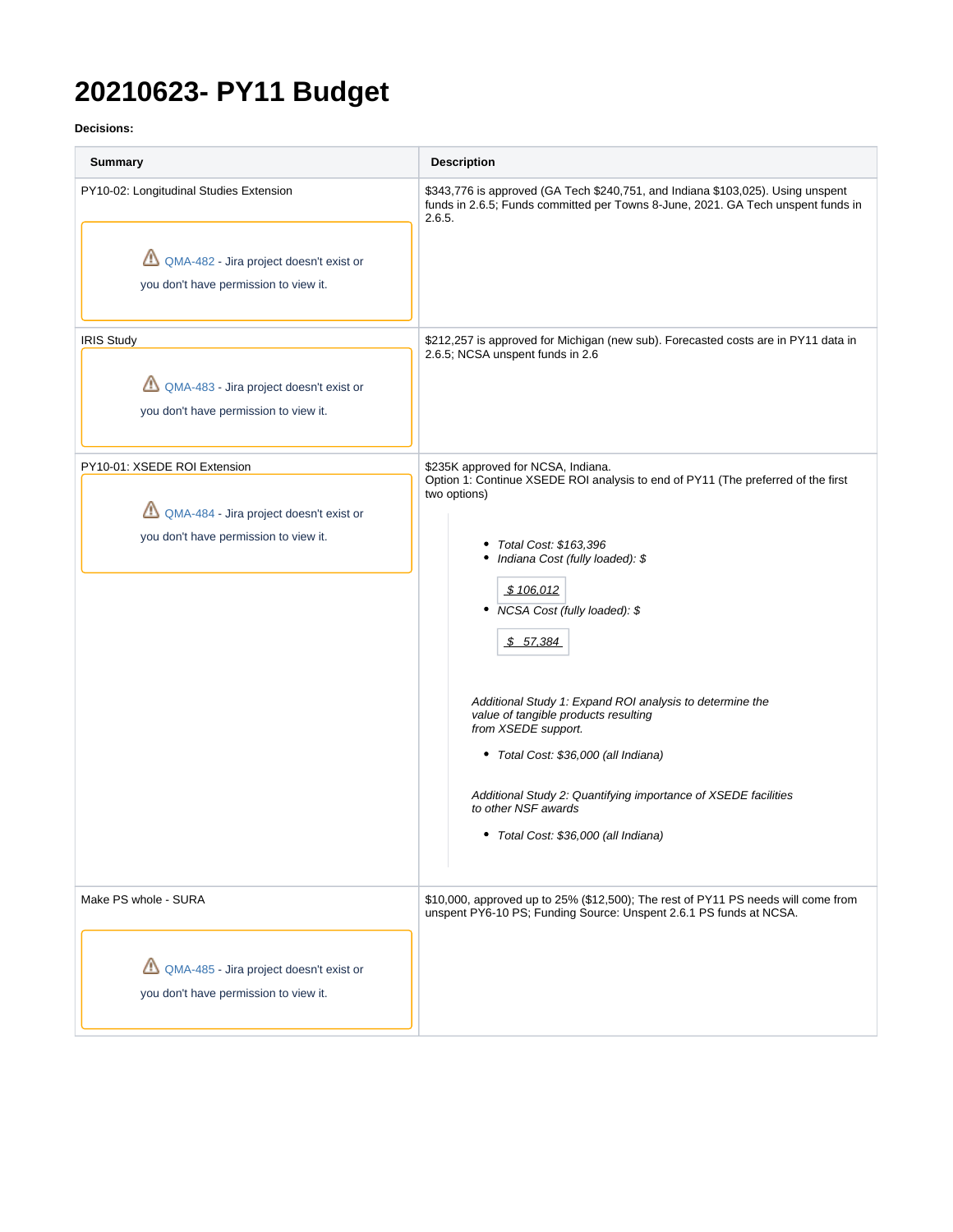# **20210623- PY11 Budget**

**Decisions:**

| Summary                                                                                                                     | <b>Description</b>                                                                                                                                                                                                                                                                                                                                                                                                                                                                                                                                                |
|-----------------------------------------------------------------------------------------------------------------------------|-------------------------------------------------------------------------------------------------------------------------------------------------------------------------------------------------------------------------------------------------------------------------------------------------------------------------------------------------------------------------------------------------------------------------------------------------------------------------------------------------------------------------------------------------------------------|
| PY10-02: Longitudinal Studies Extension<br>QMA-482 - Jira project doesn't exist or<br>you don't have permission to view it. | \$343,776 is approved (GA Tech \$240,751, and Indiana \$103,025). Using unspent<br>funds in 2.6.5; Funds committed per Towns 8-June, 2021. GA Tech unspent funds in<br>2.6.5.                                                                                                                                                                                                                                                                                                                                                                                     |
| <b>IRIS Study</b><br>QMA-483 - Jira project doesn't exist or<br>you don't have permission to view it.                       | \$212,257 is approved for Michigan (new sub). Forecasted costs are in PY11 data in<br>2.6.5; NCSA unspent funds in 2.6                                                                                                                                                                                                                                                                                                                                                                                                                                            |
| PY10-01: XSEDE ROI Extension<br>QMA-484 - Jira project doesn't exist or<br>you don't have permission to view it.            | \$235K approved for NCSA, Indiana.<br>Option 1: Continue XSEDE ROI analysis to end of PY11 (The preferred of the first<br>two options)<br>Total Cost: \$163,396<br>Indiana Cost (fully loaded): \$<br>\$106,012<br>• NCSA Cost (fully loaded): \$<br>\$57,384<br>Additional Study 1: Expand ROI analysis to determine the<br>value of tangible products resulting<br>from XSEDE support.<br>• Total Cost: \$36,000 (all Indiana)<br>Additional Study 2: Quantifying importance of XSEDE facilities<br>to other NSF awards<br>• Total Cost: \$36,000 (all Indiana) |
| Make PS whole - SURA<br>QMA-485 - Jira project doesn't exist or<br>you don't have permission to view it.                    | \$10,000, approved up to 25% (\$12,500); The rest of PY11 PS needs will come from<br>unspent PY6-10 PS; Funding Source: Unspent 2.6.1 PS funds at NCSA.                                                                                                                                                                                                                                                                                                                                                                                                           |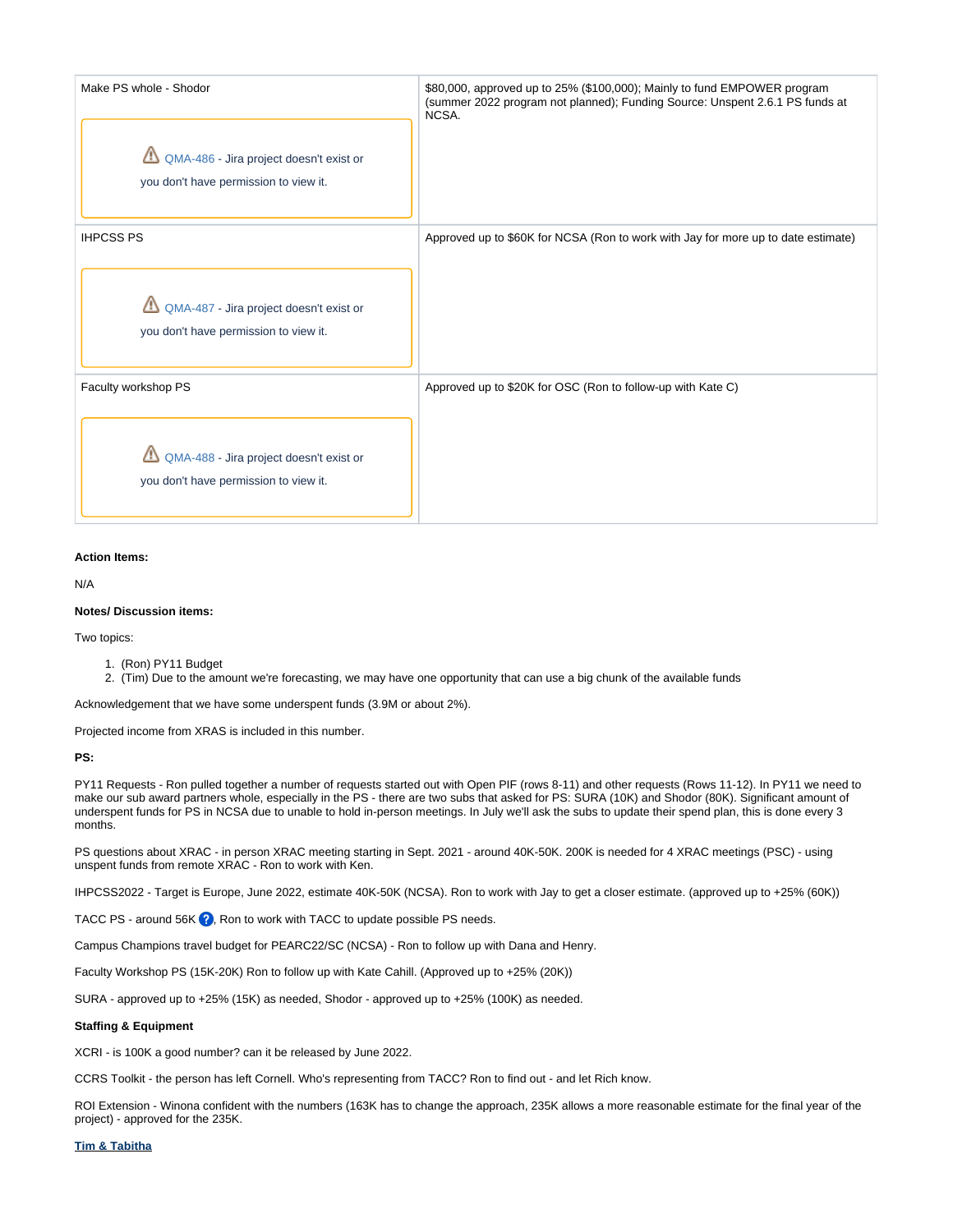| Make PS whole - Shodor<br>QMA-486 - Jira project doesn't exist or<br>you don't have permission to view it. | \$80,000, approved up to 25% (\$100,000); Mainly to fund EMPOWER program<br>(summer 2022 program not planned); Funding Source: Unspent 2.6.1 PS funds at<br>NCSA. |
|------------------------------------------------------------------------------------------------------------|-------------------------------------------------------------------------------------------------------------------------------------------------------------------|
| <b>IHPCSS PS</b><br>QMA-487 - Jira project doesn't exist or<br>you don't have permission to view it.       | Approved up to \$60K for NCSA (Ron to work with Jay for more up to date estimate)                                                                                 |
| Faculty workshop PS<br>QMA-488 - Jira project doesn't exist or<br>you don't have permission to view it.    | Approved up to \$20K for OSC (Ron to follow-up with Kate C)                                                                                                       |

### **Action Items:**

N/A

#### **Notes/ Discussion items:**

Two topics:

- 1. (Ron) PY11 Budget
- 2. (Tim) Due to the amount we're forecasting, we may have one opportunity that can use a big chunk of the available funds

Acknowledgement that we have some underspent funds (3.9M or about 2%).

Projected income from XRAS is included in this number.

# **PS:**

PY11 Requests - Ron pulled together a number of requests started out with Open PIF (rows 8-11) and other requests (Rows 11-12). In PY11 we need to make our sub award partners whole, especially in the PS - there are two subs that asked for PS: SURA (10K) and Shodor (80K). Significant amount of underspent funds for PS in NCSA due to unable to hold in-person meetings. In July we'll ask the subs to update their spend plan, this is done every 3 months.

PS questions about XRAC - in person XRAC meeting starting in Sept. 2021 - around 40K-50K. 200K is needed for 4 XRAC meetings (PSC) - using unspent funds from remote XRAC - Ron to work with Ken.

IHPCSS2022 - Target is Europe, June 2022, estimate 40K-50K (NCSA). Ron to work with Jay to get a closer estimate. (approved up to +25% (60K))

TACC PS - around 56K <sup>2</sup>, Ron to work with TACC to update possible PS needs.

Campus Champions travel budget for PEARC22/SC (NCSA) - Ron to follow up with Dana and Henry.

Faculty Workshop PS (15K-20K) Ron to follow up with Kate Cahill. (Approved up to +25% (20K))

SURA - approved up to +25% (15K) as needed, Shodor - approved up to +25% (100K) as needed.

### **Staffing & Equipment**

XCRI - is 100K a good number? can it be released by June 2022.

CCRS Toolkit - the person has left Cornell. Who's representing from TACC? Ron to find out - and let Rich know.

ROI Extension - Winona confident with the numbers (163K has to change the approach, 235K allows a more reasonable estimate for the final year of the project) - approved for the 235K.

## **Tim & Tabitha**